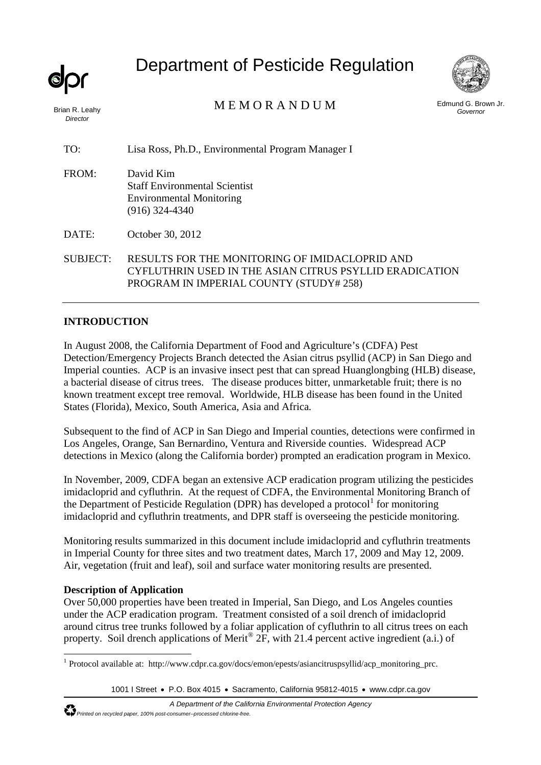Brian R. Leahy *Director* 

# Department of Pesticide Regulation



Edmund G. Brown Jr. M E M O R A N D U M *Governor* 

TO: Lisa Ross, Ph.D., Environmental Program Manager I

FROM: David Kim Staff Environmental Scientist Environmental Monitoring (916) 324-4340

DATE: October 30, 2012

SUBJECT: RESULTS FOR THE MONITORING OF IMIDACLOPRID AND CYFLUTHRIN USED IN THE ASIAN CITRUS PSYLLID ERADICATION PROGRAM IN IMPERIAL COUNTY (STUDY# 258)

# **INTRODUCTION**

In August 2008, the California Department of Food and Agriculture's (CDFA) Pest Detection/Emergency Projects Branch detected the Asian citrus psyllid (ACP) in San Diego and Imperial counties. ACP is an invasive insect pest that can spread Huanglongbing (HLB) disease, a bacterial disease of citrus trees. The disease produces bitter, unmarketable fruit; there is no known treatment except tree removal. Worldwide, HLB disease has been found in the United States (Florida), Mexico, South America, Asia and Africa.

Subsequent to the find of ACP in San Diego and Imperial counties, detections were confirmed in Los Angeles, Orange, San Bernardino, Ventura and Riverside counties. Widespread ACP detections in Mexico (along the California border) prompted an eradication program in Mexico.

In November, 2009, CDFA began an extensive ACP eradication program utilizing the pesticides imidacloprid and cyfluthrin. At the request of CDFA, the Environmental Monitoring Branch of the Department of Pesticide Regulation (DPR) has developed a protocol<sup>1</sup> for monitoring imidacloprid and cyfluthrin treatments, and DPR staff is overseeing the pesticide monitoring.

Monitoring results summarized in this document include imidacloprid and cyfluthrin treatments in Imperial County for three sites and two treatment dates, March 17, 2009 and May 12, 2009. Air, vegetation (fruit and leaf), soil and surface water monitoring results are presented.

# **Description of Application**

Over 50,000 properties have been treated in Imperial, San Diego, and Los Angeles counties under the ACP eradication program. Treatment consisted of a soil drench of imidacloprid around citrus tree trunks followed by a foliar application of cyfluthrin to all citrus trees on each property. Soil drench applications of Merit® 2F, with 21.4 percent active ingredient (a.i.) of

<sup>1</sup> Protocol available at: http://www.cdpr.ca.gov/docs/emon/epests/asiancitruspsyllid/acp\_monitoring\_prc.

<sup>1001</sup> I Street • P.O. Box 4015 • Sacramento, California 95812-4015 • www.cdpr.ca.gov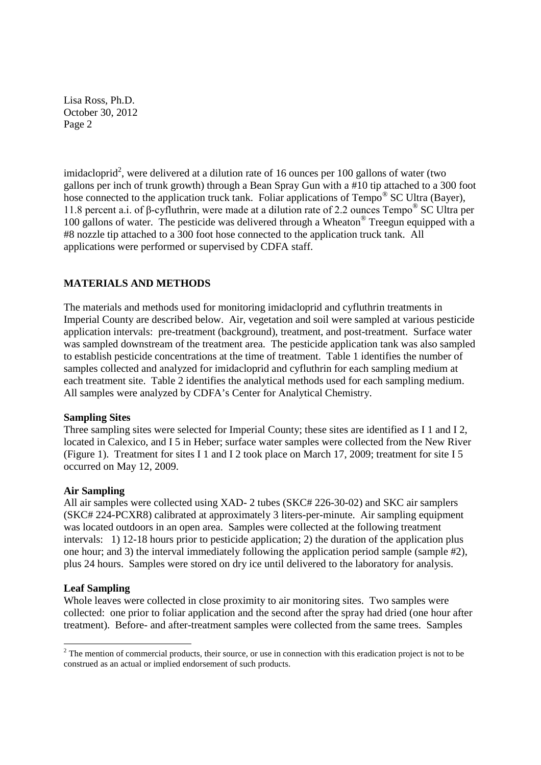11.8 percent a.i. of β-cyfluthrin, were made at a dilution rate of 2.2 ounces Tempo® SC Ultra per imidacloprid<sup>2</sup>, were delivered at a dilution rate of 16 ounces per 100 gallons of water (two gallons per inch of trunk growth) through a Bean Spray Gun with a #10 tip attached to a 300 foot hose connected to the application truck tank. Foliar applications of Tempo<sup>®</sup> SC Ultra (Bayer), 100 gallons of water. The pesticide was delivered through a Wheaton® Treegun equipped with a #8 nozzle tip attached to a 300 foot hose connected to the application truck tank. All applications were performed or supervised by CDFA staff.

# **MATERIALS AND METHODS**

The materials and methods used for monitoring imidacloprid and cyfluthrin treatments in Imperial County are described below. Air, vegetation and soil were sampled at various pesticide application intervals: pre-treatment (background), treatment, and post-treatment. Surface water was sampled downstream of the treatment area. The pesticide application tank was also sampled to establish pesticide concentrations at the time of treatment. Table 1 identifies the number of samples collected and analyzed for imidacloprid and cyfluthrin for each sampling medium at each treatment site. Table 2 identifies the analytical methods used for each sampling medium. All samples were analyzed by CDFA's Center for Analytical Chemistry.

#### **Sampling Sites**

Three sampling sites were selected for Imperial County; these sites are identified as I 1 and I 2, located in Calexico, and I 5 in Heber; surface water samples were collected from the New River (Figure 1). Treatment for sites I 1 and I 2 took place on March 17, 2009; treatment for site I 5 occurred on May 12, 2009.

#### **Air Sampling**

All air samples were collected using XAD- 2 tubes (SKC# 226-30-02) and SKC air samplers (SKC# 224-PCXR8) calibrated at approximately 3 liters-per-minute. Air sampling equipment was located outdoors in an open area. Samples were collected at the following treatment intervals: 1) 12-18 hours prior to pesticide application; 2) the duration of the application plus one hour; and 3) the interval immediately following the application period sample (sample #2), plus 24 hours. Samples were stored on dry ice until delivered to the laboratory for analysis.

#### **Leaf Sampling**

Whole leaves were collected in close proximity to air monitoring sites. Two samples were collected: one prior to foliar application and the second after the spray had dried (one hour after treatment). Before- and after-treatment samples were collected from the same trees. Samples

<sup>&</sup>lt;sup>2</sup> The mention of commercial products, their source, or use in connection with this eradication project is not to be construed as an actual or implied endorsement of such products.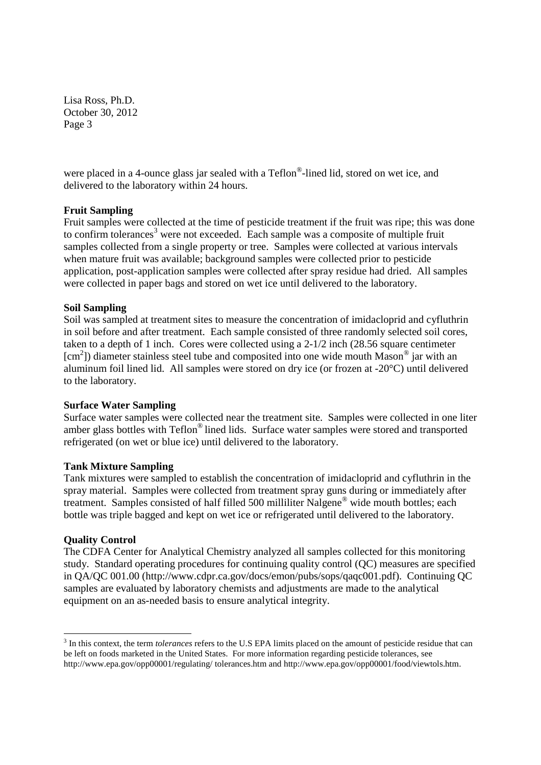were placed in a 4-ounce glass jar sealed with a Teflon®-lined lid, stored on wet ice, and delivered to the laboratory within 24 hours.

## **Fruit Sampling**

Fruit samples were collected at the time of pesticide treatment if the fruit was ripe; this was done to confirm tolerances<sup>3</sup> were not exceeded. Each sample was a composite of multiple fruit samples collected from a single property or tree. Samples were collected at various intervals when mature fruit was available; background samples were collected prior to pesticide application, post-application samples were collected after spray residue had dried. All samples were collected in paper bags and stored on wet ice until delivered to the laboratory.

## **Soil Sampling**

Soil was sampled at treatment sites to measure the concentration of imidacloprid and cyfluthrin in soil before and after treatment. Each sample consisted of three randomly selected soil cores, taken to a depth of 1 inch. Cores were collected using a 2-1/2 inch (28.56 square centimeter [cm<sup>2</sup>]) diameter stainless steel tube and composited into one wide mouth Mason<sup>®</sup> jar with an aluminum foil lined lid. All samples were stored on dry ice (or frozen at -20°C) until delivered to the laboratory.

#### **Surface Water Sampling**

Surface water samples were collected near the treatment site. Samples were collected in one liter amber glass bottles with Teflon® lined lids. Surface water samples were stored and transported refrigerated (on wet or blue ice) until delivered to the laboratory.

#### **Tank Mixture Sampling**

Tank mixtures were sampled to establish the concentration of imidacloprid and cyfluthrin in the spray material. Samples were collected from treatment spray guns during or immediately after treatment. Samples consisted of half filled 500 milliliter Nalgene® wide mouth bottles; each bottle was triple bagged and kept on wet ice or refrigerated until delivered to the laboratory.

#### **Quality Control**

The CDFA Center for Analytical Chemistry analyzed all samples collected for this monitoring study. Standard operating procedures for continuing quality control (QC) measures are specified in QA/QC 001.00 (http://www.cdpr.ca.gov/docs/emon/pubs/sops/qaqc001.pdf). Continuing QC samples are evaluated by laboratory chemists and adjustments are made to the analytical equipment on an as-needed basis to ensure analytical integrity.

<sup>3</sup> In this context, the term *tolerances* refers to the U.S EPA limits placed on the amount of pesticide residue that can be left on foods marketed in the United States. For more information regarding pesticide tolerances, see http://www.epa.gov/opp00001/regulating/ tolerances.htm and http://www.epa.gov/opp00001/food/viewtols.htm.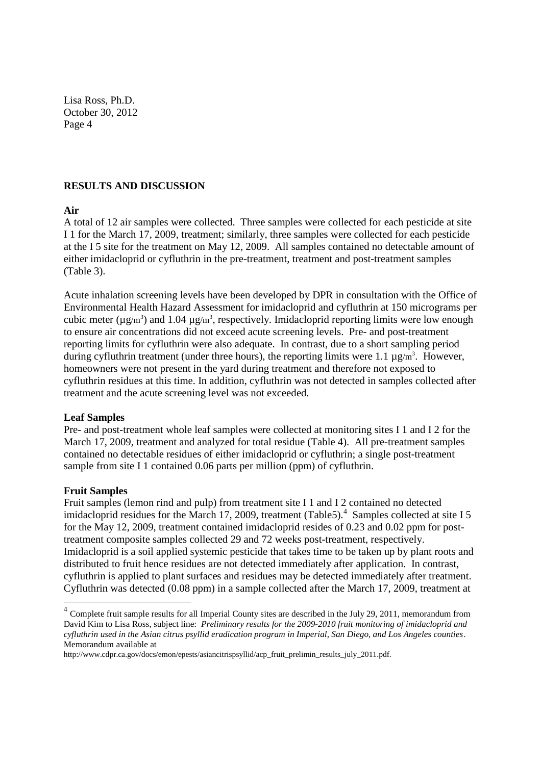#### **RESULTS AND DISCUSSION**

#### **Air**

A total of 12 air samples were collected. Three samples were collected for each pesticide at site I 1 for the March 17, 2009, treatment; similarly, three samples were collected for each pesticide at the I 5 site for the treatment on May 12, 2009. All samples contained no detectable amount of either imidacloprid or cyfluthrin in the pre-treatment, treatment and post-treatment samples (Table 3).

Acute inhalation screening levels have been developed by DPR in consultation with the Office of Environmental Health Hazard Assessment for imidacloprid and cyfluthrin at 150 micrograms per cubic meter ( $\mu$ g/m<sup>3</sup>) and 1.04  $\mu$ g/m<sup>3</sup>, respectively. Imidacloprid reporting limits were low enough to ensure air concentrations did not exceed acute screening levels. Pre- and post-treatment reporting limits for cyfluthrin were also adequate. In contrast, due to a short sampling period during cyfluthrin treatment (under three hours), the reporting limits were 1.1  $\mu$ g/m<sup>3</sup>. However, homeowners were not present in the yard during treatment and therefore not exposed to cyfluthrin residues at this time. In addition, cyfluthrin was not detected in samples collected after treatment and the acute screening level was not exceeded.

#### **Leaf Samples**

Pre- and post-treatment whole leaf samples were collected at monitoring sites I 1 and I 2 for the March 17, 2009, treatment and analyzed for total residue (Table 4). All pre-treatment samples contained no detectable residues of either imidacloprid or cyfluthrin; a single post-treatment sample from site I 1 contained 0.06 parts per million (ppm) of cyfluthrin.

#### **Fruit Samples**

Fruit samples (lemon rind and pulp) from treatment site I 1 and I 2 contained no detected imidacloprid residues for the March 17, 2009, treatment (Table5).<sup>4</sup> Samples collected at site I 5 for the May 12, 2009, treatment contained imidacloprid resides of 0.23 and 0.02 ppm for posttreatment composite samples collected 29 and 72 weeks post-treatment, respectively. Imidacloprid is a soil applied systemic pesticide that takes time to be taken up by plant roots and distributed to fruit hence residues are not detected immediately after application. In contrast, cyfluthrin is applied to plant surfaces and residues may be detected immediately after treatment. Cyfluthrin was detected (0.08 ppm) in a sample collected after the March 17, 2009, treatment at

 $4$  Complete fruit sample results for all Imperial County sites are described in the July 29, 2011, memorandum from David Kim to Lisa Ross, subject line: *Preliminary results for the 2009-2010 fruit monitoring of imidacloprid and cyfluthrin used in the Asian citrus psyllid eradication program in Imperial, San Diego, and Los Angeles counties*. Memorandum available at

http://www.cdpr.ca.gov/docs/emon/epests/asiancitrispsyllid/acp\_fruit\_prelimin\_results\_july\_2011.pdf.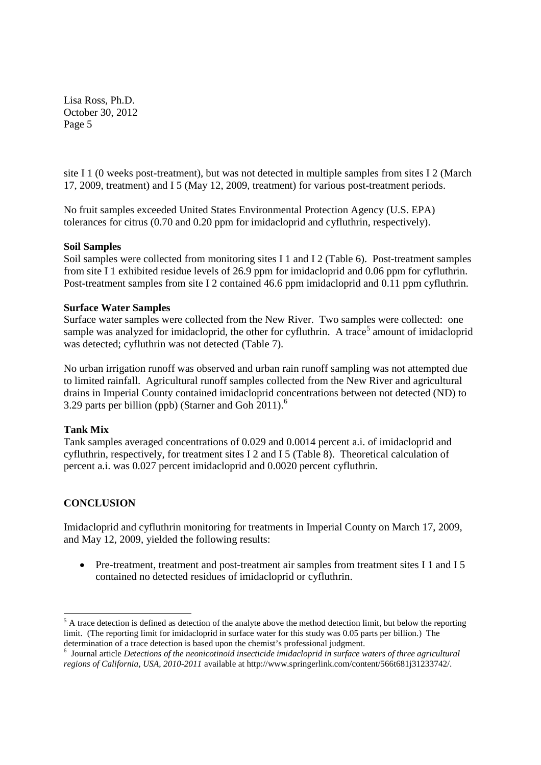site I 1 (0 weeks post-treatment), but was not detected in multiple samples from sites I 2 (March 17, 2009, treatment) and I 5 (May 12, 2009, treatment) for various post-treatment periods.

No fruit samples exceeded United States Environmental Protection Agency (U.S. EPA) tolerances for citrus (0.70 and 0.20 ppm for imidacloprid and cyfluthrin, respectively).

## **Soil Samples**

Soil samples were collected from monitoring sites I 1 and I 2 (Table 6). Post-treatment samples from site I 1 exhibited residue levels of 26.9 ppm for imidacloprid and 0.06 ppm for cyfluthrin. Post-treatment samples from site I 2 contained 46.6 ppm imidacloprid and 0.11 ppm cyfluthrin.

## **Surface Water Samples**

Surface water samples were collected from the New River. Two samples were collected: one sample was analyzed for imidacloprid, the other for cyfluthrin. A trace<sup>5</sup> amount of imidacloprid was detected; cyfluthrin was not detected (Table 7).

No urban irrigation runoff was observed and urban rain runoff sampling was not attempted due to limited rainfall. Agricultural runoff samples collected from the New River and agricultural drains in Imperial County contained imidacloprid concentrations between not detected (ND) to 3.29 parts per billion (ppb) (Starner and Goh  $2011$ ).<sup>6</sup>

# **Tank Mix**

Tank samples averaged concentrations of 0.029 and 0.0014 percent a.i. of imidacloprid and cyfluthrin, respectively, for treatment sites I 2 and I 5 (Table 8). Theoretical calculation of percent a.i. was 0.027 percent imidacloprid and 0.0020 percent cyfluthrin.

# **CONCLUSION**

Imidacloprid and cyfluthrin monitoring for treatments in Imperial County on March 17, 2009, and May 12, 2009, yielded the following results:

• Pre-treatment, treatment and post-treatment air samples from treatment sites I 1 and I 5 contained no detected residues of imidacloprid or cyfluthrin.

 $<sup>5</sup>$  A trace detection is defined as detection of the analyte above the method detection limit, but below the reporting</sup> limit. (The reporting limit for imidacloprid in surface water for this study was 0.05 parts per billion.) The determination of a trace detection is based upon the chemist's professional judgment.

<sup>6</sup> Journal article *Detections of the neonicotinoid insecticide imidacloprid in surface waters of three agricultural regions of California, USA, 2010-2011* available at http://www.springerlink.com/content/566t681j31233742/.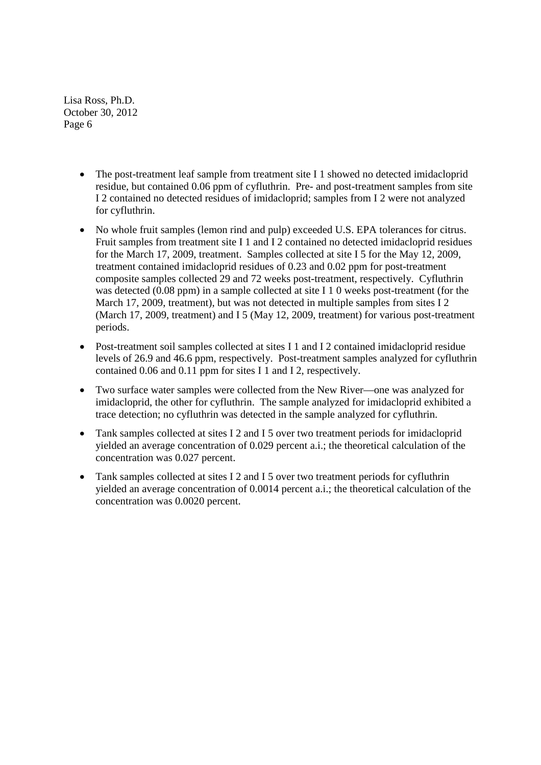- The post-treatment leaf sample from treatment site I 1 showed no detected imidacloprid residue, but contained 0.06 ppm of cyfluthrin. Pre- and post-treatment samples from site I 2 contained no detected residues of imidacloprid; samples from I 2 were not analyzed for cyfluthrin.
- No whole fruit samples (lemon rind and pulp) exceeded U.S. EPA tolerances for citrus. Fruit samples from treatment site I 1 and I 2 contained no detected imidacloprid residues for the March 17, 2009, treatment. Samples collected at site I 5 for the May 12, 2009, treatment contained imidacloprid residues of 0.23 and 0.02 ppm for post-treatment composite samples collected 29 and 72 weeks post-treatment, respectively. Cyfluthrin was detected (0.08 ppm) in a sample collected at site I 1 0 weeks post-treatment (for the March 17, 2009, treatment), but was not detected in multiple samples from sites I 2 (March 17, 2009, treatment) and I 5 (May 12, 2009, treatment) for various post-treatment periods.
- Post-treatment soil samples collected at sites I 1 and I 2 contained imidacloprid residue levels of 26.9 and 46.6 ppm, respectively. Post-treatment samples analyzed for cyfluthrin contained 0.06 and 0.11 ppm for sites I 1 and I 2, respectively.
- Two surface water samples were collected from the New River—one was analyzed for imidacloprid, the other for cyfluthrin. The sample analyzed for imidacloprid exhibited a trace detection; no cyfluthrin was detected in the sample analyzed for cyfluthrin.
- Tank samples collected at sites I 2 and I 5 over two treatment periods for imidacloprid yielded an average concentration of 0.029 percent a.i.; the theoretical calculation of the concentration was 0.027 percent.
- Tank samples collected at sites I 2 and I 5 over two treatment periods for cyfluthrin yielded an average concentration of 0.0014 percent a.i.; the theoretical calculation of the concentration was 0.0020 percent.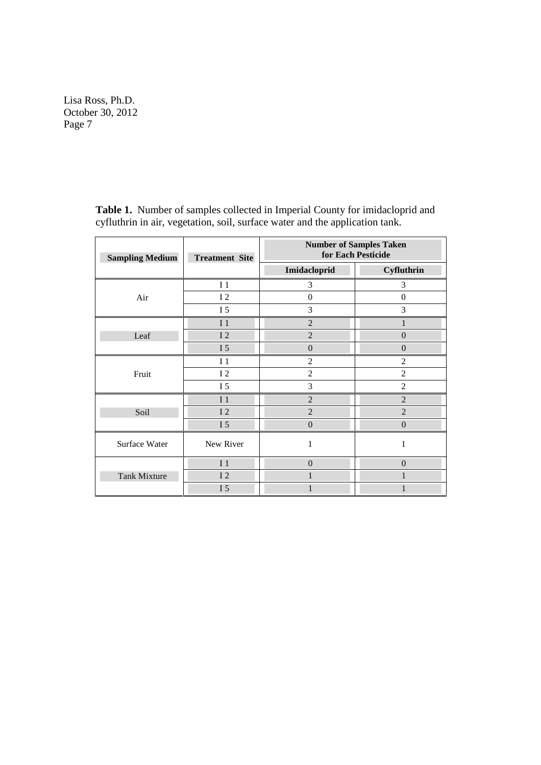| <b>Sampling Medium</b> | <b>Treatment Site</b> | <b>Number of Samples Taken</b><br>for Each Pesticide |                  |  |
|------------------------|-----------------------|------------------------------------------------------|------------------|--|
|                        |                       | Imidacloprid                                         | Cyfluthrin       |  |
|                        | I <sub>1</sub>        | 3                                                    | 3                |  |
| Air                    | I <sub>2</sub>        | $\boldsymbol{0}$                                     | $\boldsymbol{0}$ |  |
|                        | I 5                   | 3                                                    | 3                |  |
|                        | I <sub>1</sub>        | $\overline{2}$                                       | $\mathbf{1}$     |  |
| Leaf                   | I <sub>2</sub>        | $\overline{2}$                                       | $\overline{0}$   |  |
|                        | I <sub>5</sub>        | $\boldsymbol{0}$                                     | $\overline{0}$   |  |
|                        | I <sub>1</sub>        | $\mathfrak{2}$                                       | $\overline{2}$   |  |
| Fruit                  | I <sub>2</sub>        | $\overline{c}$                                       | $\overline{c}$   |  |
|                        | I 5                   | 3                                                    | $\overline{c}$   |  |
|                        | I <sub>1</sub>        | $\overline{2}$                                       | $\overline{2}$   |  |
| Soil                   | <b>I2</b>             | $\overline{2}$                                       | $\overline{2}$   |  |
|                        | I 5                   | $\overline{0}$                                       | $\boldsymbol{0}$ |  |
| Surface Water          | New River             | 1                                                    | $\mathbf{1}$     |  |
|                        | I <sub>1</sub>        | $\overline{0}$                                       | $\overline{0}$   |  |
| <b>Tank Mixture</b>    | 12                    | 1                                                    | 1                |  |
|                        | I 5                   |                                                      |                  |  |

**Table 1.** Number of samples collected in Imperial County for imidacloprid and cyfluthrin in air, vegetation, soil, surface water and the application tank.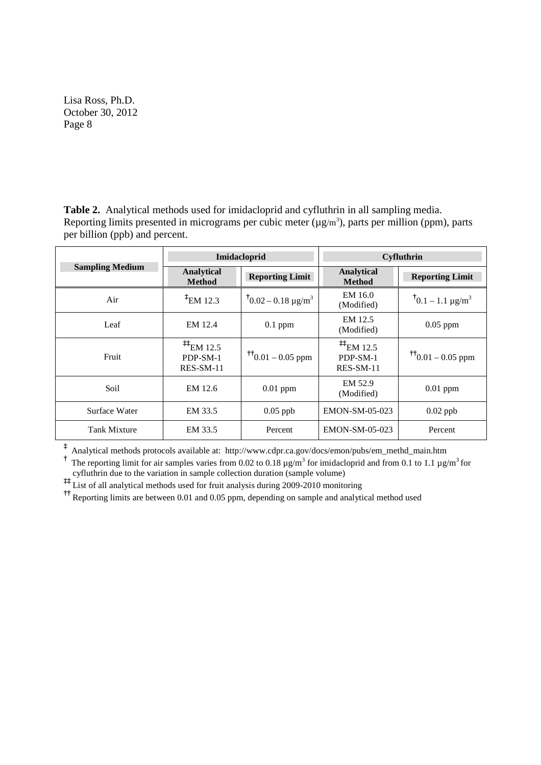**Table 2.** Analytical methods used for imidacloprid and cyfluthrin in all sampling media. Reporting limits presented in micrograms per cubic meter  $(\mu g/m^3)$ , parts per million (ppm), parts per billion (ppb) and percent.

|                        |                                                                                   | Imidacloprid                     | Cyfluthrin                               |                                          |  |
|------------------------|-----------------------------------------------------------------------------------|----------------------------------|------------------------------------------|------------------------------------------|--|
| <b>Sampling Medium</b> | Analytical<br><b>Method</b>                                                       | <b>Reporting Limit</b>           | <b>Analytical</b><br><b>Method</b>       | <b>Reporting Limit</b>                   |  |
| Air                    | $E_{EM}$ 12.3                                                                     | $10.02 - 0.18 \text{ µg/m}^3$    | EM 16.0<br>(Modified)                    | $^{\dagger}$ 0.1 – 1.1 µg/m <sup>3</sup> |  |
| Leaf                   | EM 12.4                                                                           | $0.1$ ppm                        | EM 12.5<br>(Modified)                    | $0.05$ ppm                               |  |
| Fruit                  | $\stackrel{\text{\ddagger}\text{\ddagger}}{=}$ EM 12.5<br>PDP-SM-1<br>$RES-SM-11$ | $\frac{1}{10}$ (0.01 – 0.05 ppm) | $^{11}$ EM 12.5<br>PDP-SM-1<br>RES-SM-11 | $\frac{1}{10}$ 0.01 – 0.05 ppm           |  |
| Soil                   | EM 12.6                                                                           | $0.01$ ppm                       | EM 52.9<br>(Modified)                    | $0.01$ ppm                               |  |
| Surface Water          | EM 33.5                                                                           | $0.05$ ppb                       | EMON-SM-05-023                           | $0.02$ ppb                               |  |
| <b>Tank Mixture</b>    | EM 33.5                                                                           | Percent                          | EMON-SM-05-023                           | Percent                                  |  |

**‡** Analytical methods protocols available at: http://www.cdpr.ca.gov/docs/emon/pubs/em\_methd\_main.htm

<sup>†</sup> The reporting limit for air samples varies from 0.02 to 0.18  $\mu$ g/m<sup>3</sup> for imidacloprid and from 0.1 to 1.1  $\mu$ g/m<sup>3</sup> for cyfluthrin due to the variation in sample collection duration (sample volume)

**‡‡** List of all analytical methods used for fruit analysis during 2009-2010 monitoring

<sup>††</sup> Reporting limits are between 0.01 and 0.05 ppm, depending on sample and analytical method used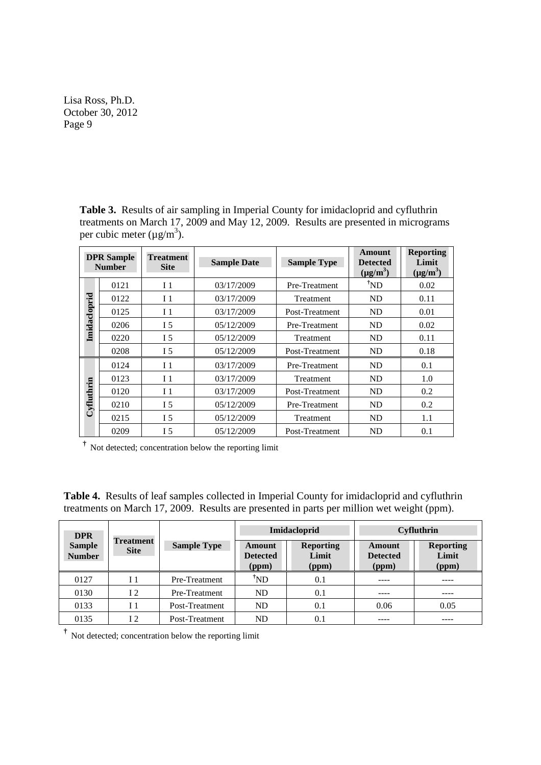**Table 3.** Results of air sampling in Imperial County for imidacloprid and cyfluthrin treatments on March 17, 2009 and May 12, 2009. Results are presented in micrograms per cubic meter  $(\mu g/m^3)$ .

|              | <b>DPR</b> Sample<br><b>Number</b> | <b>Treatment</b><br><b>Site</b> | <b>Sample Date</b> | <b>Sample Type</b> | Amount<br><b>Detected</b><br>$(\mu g/m^3)$ | <b>Reporting</b><br>Limit<br>$(\mu g/m^3)$ |
|--------------|------------------------------------|---------------------------------|--------------------|--------------------|--------------------------------------------|--------------------------------------------|
|              | 0121                               | I <sub>1</sub>                  | 03/17/2009         | Pre-Treatment      | $^{\dagger}ND$                             | 0.02                                       |
|              | 0122                               | I <sub>1</sub>                  | 03/17/2009         | Treatment          | ND                                         | 0.11                                       |
| Imidacloprid | 0125                               | I <sub>1</sub>                  | 03/17/2009         | Post-Treatment     | ND                                         | 0.01                                       |
|              | 0206                               | I <sub>5</sub>                  | 05/12/2009         | Pre-Treatment      | ND                                         | 0.02                                       |
|              | 0220                               | I 5                             | 05/12/2009         | Treatment          | ND                                         | 0.11                                       |
|              | 0208                               | I 5                             | 05/12/2009         | Post-Treatment     | ND                                         | 0.18                                       |
|              | 0124                               | I <sub>1</sub>                  | 03/17/2009         | Pre-Treatment      | ND                                         | 0.1                                        |
|              | 0123                               | I <sub>1</sub>                  | 03/17/2009         | Treatment          | ND                                         | 1.0                                        |
| Cyfluthrin   | 0120                               | I <sub>1</sub>                  | 03/17/2009         | Post-Treatment     | ND                                         | 0.2                                        |
|              | 0210                               | I <sub>5</sub>                  | 05/12/2009         | Pre-Treatment      | ND                                         | 0.2                                        |
|              | 0215                               | I 5                             | 05/12/2009         | <b>Treatment</b>   | ND                                         | 1.1                                        |
|              | 0209                               | I 5                             | 05/12/2009         | Post-Treatment     | ND                                         | 0.1                                        |

**†** Not detected; concentration below the reporting limit

**Table 4.** Results of leaf samples collected in Imperial County for imidacloprid and cyfluthrin treatments on March 17, 2009. Results are presented in parts per million wet weight (ppm).

| <b>DPR</b>                     |                                 |                    | Imidacloprid                              |                                    | Cyfluthrin                                |                                    |
|--------------------------------|---------------------------------|--------------------|-------------------------------------------|------------------------------------|-------------------------------------------|------------------------------------|
| <b>Sample</b><br><b>Number</b> | <b>Treatment</b><br><b>Site</b> | <b>Sample Type</b> | <b>Amount</b><br><b>Detected</b><br>(ppm) | <b>Reporting</b><br>Limit<br>(ppm) | <b>Amount</b><br><b>Detected</b><br>(ppm) | <b>Reporting</b><br>Limit<br>(ppm) |
| 0127                           | I <sub>1</sub>                  | Pre-Treatment      | $\mathrm{^7} \mathrm{ND}$                 | 0.1                                |                                           |                                    |
| 0130                           | 12                              | Pre-Treatment      | ND                                        | 0.1                                | ----                                      | ----                               |
| 0133                           | I <sub>1</sub>                  | Post-Treatment     | ND                                        | 0.1                                | 0.06                                      | 0.05                               |
| 0135                           | $\mathsf{L}$                    | Post-Treatment     | <b>ND</b>                                 | $0.1\,$                            |                                           |                                    |

**†** Not detected; concentration below the reporting limit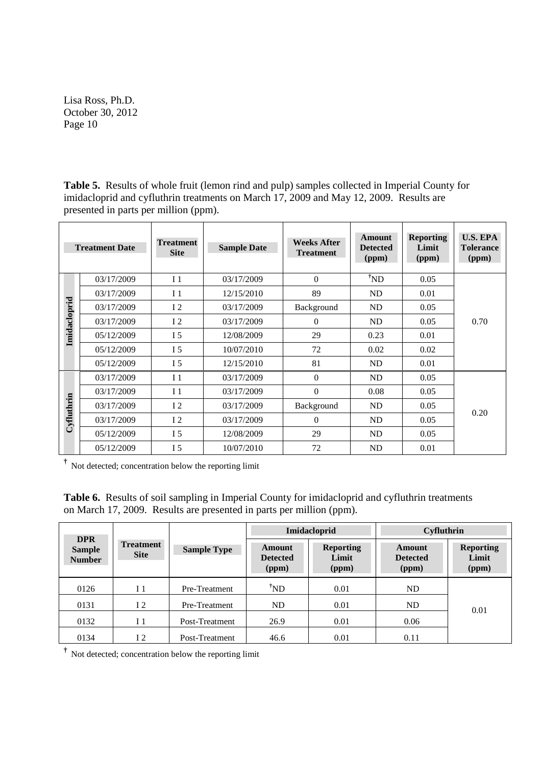**Table 5.** Results of whole fruit (lemon rind and pulp) samples collected in Imperial County for imidacloprid and cyfluthrin treatments on March 17, 2009 and May 12, 2009. Results are presented in parts per million (ppm).

| <b>Treatment Date</b> |            | <b>Treatment</b><br><b>Sample Date</b><br><b>Site</b> |            | <b>Weeks After</b><br><b>Treatment</b> | <b>Amount</b><br><b>Detected</b><br>(ppm) | <b>Reporting</b><br>Limit<br>(ppm) | <b>U.S. EPA</b><br><b>Tolerance</b><br>(ppm) |
|-----------------------|------------|-------------------------------------------------------|------------|----------------------------------------|-------------------------------------------|------------------------------------|----------------------------------------------|
|                       | 03/17/2009 | I <sub>1</sub>                                        | 03/17/2009 | $\Omega$                               | $^{\dagger}ND$                            | 0.05                               |                                              |
|                       | 03/17/2009 | I <sub>1</sub>                                        | 12/15/2010 | 89                                     | ND                                        | 0.01                               | 0.70                                         |
|                       | 03/17/2009 | 12                                                    | 03/17/2009 | Background                             | ND                                        | 0.05                               |                                              |
| Imidacloprid          | 03/17/2009 | 12                                                    | 03/17/2009 | $\Omega$                               | ND                                        | 0.05                               |                                              |
|                       | 05/12/2009 | I <sub>5</sub>                                        | 12/08/2009 | 29                                     | 0.23                                      | 0.01                               |                                              |
|                       | 05/12/2009 | I 5                                                   | 10/07/2010 | 72                                     | 0.02                                      | 0.02                               |                                              |
|                       | 05/12/2009 | I 5                                                   | 12/15/2010 | 81                                     | ND                                        | 0.01                               |                                              |
|                       | 03/17/2009 | I <sub>1</sub>                                        | 03/17/2009 | $\Omega$                               | ND                                        | 0.05                               |                                              |
|                       | 03/17/2009 | I <sub>1</sub>                                        | 03/17/2009 | $\Omega$                               | 0.08                                      | 0.05                               |                                              |
| Cyfluthrin            | 03/17/2009 | 12                                                    | 03/17/2009 | Background                             | ND                                        | 0.05                               | 0.20                                         |
|                       | 03/17/2009 | 12                                                    | 03/17/2009 | $\theta$                               | ND                                        | 0.05                               |                                              |
|                       | 05/12/2009 | I 5                                                   | 12/08/2009 | 29                                     | <b>ND</b>                                 | 0.05                               |                                              |
|                       | 05/12/2009 | I 5                                                   | 10/07/2010 | 72                                     | <b>ND</b>                                 | 0.01                               |                                              |

**†** Not detected; concentration below the reporting limit

**Table 6.** Results of soil sampling in Imperial County for imidacloprid and cyfluthrin treatments on March 17, 2009. Results are presented in parts per million (ppm).

|                                              |                                 |                    | Imidacloprid                              |                                    | Cyfluthrin                                |                                    |
|----------------------------------------------|---------------------------------|--------------------|-------------------------------------------|------------------------------------|-------------------------------------------|------------------------------------|
| <b>DPR</b><br><b>Sample</b><br><b>Number</b> | <b>Treatment</b><br><b>Site</b> | <b>Sample Type</b> | <b>Amount</b><br><b>Detected</b><br>(ppm) | <b>Reporting</b><br>Limit<br>(ppm) | <b>Amount</b><br><b>Detected</b><br>(ppm) | <b>Reporting</b><br>Limit<br>(ppm) |
| 0126                                         | I 1                             | Pre-Treatment      | $^{\dagger}ND$                            | 0.01                               | ND.                                       |                                    |
| 0131                                         | 12                              | Pre-Treatment      | ND                                        | 0.01                               | ND                                        | 0.01                               |
| 0132                                         | I <sub>1</sub>                  | Post-Treatment     | 26.9                                      | 0.01                               | 0.06                                      |                                    |
| 0134                                         | I <sub>2</sub>                  | Post-Treatment     | 46.6                                      | 0.01                               | 0.11                                      |                                    |

**†** Not detected; concentration below the reporting limit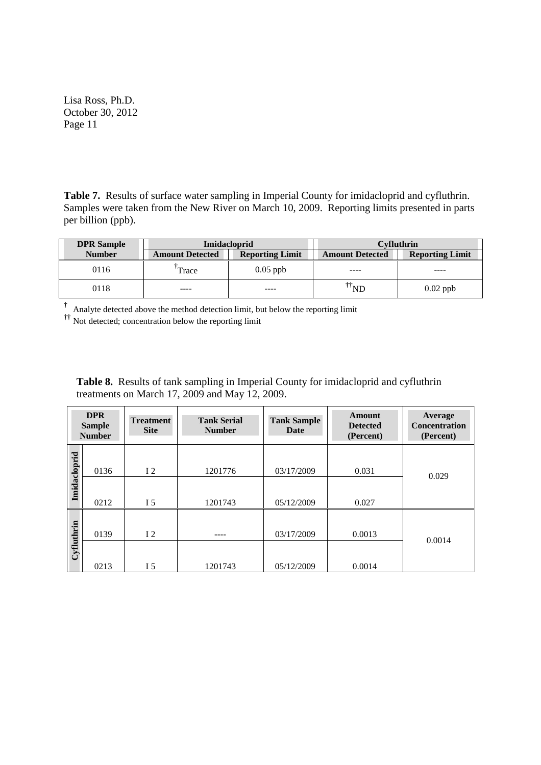**Table 7.** Results of surface water sampling in Imperial County for imidacloprid and cyfluthrin. Samples were taken from the New River on March 10, 2009. Reporting limits presented in parts per billion (ppb).

| <b>DPR</b> Sample |                        | <b>Imidacloprid</b>    | Cvfluthrin             |                        |  |
|-------------------|------------------------|------------------------|------------------------|------------------------|--|
| <b>Number</b>     | <b>Amount Detected</b> | <b>Reporting Limit</b> | <b>Amount Detected</b> | <b>Reporting Limit</b> |  |
| 0116              | Trace                  | $0.05$ ppb             | ----                   |                        |  |
| 0118              | ----                   | ----                   | 'ND                    | $0.02$ ppb             |  |

**†** Analyte detected above the method detection limit, but below the reporting limit

**††** Not detected; concentration below the reporting limit

**Table 8.** Results of tank sampling in Imperial County for imidacloprid and cyfluthrin treatments on March 17, 2009 and May 12, 2009.

|              | <b>DPR</b><br><b>Sample</b><br><b>Number</b> | <b>Treatment</b><br><b>Site</b> | <b>Tank Serial</b><br><b>Number</b> | <b>Tank Sample</b><br>Date | <b>Amount</b><br><b>Detected</b><br>(Percent) | Average<br><b>Concentration</b><br>(Percent) |
|--------------|----------------------------------------------|---------------------------------|-------------------------------------|----------------------------|-----------------------------------------------|----------------------------------------------|
| Imidacloprid | 0136                                         | 12                              | 1201776                             | 03/17/2009                 | 0.031                                         | 0.029                                        |
|              | 0212                                         | I 5                             | 1201743                             | 05/12/2009                 | 0.027                                         |                                              |
| Cyfluthrin   | 0139                                         | 12                              |                                     | 03/17/2009                 | 0.0013                                        | 0.0014                                       |
|              | 0213                                         | I 5                             | 1201743                             | 05/12/2009                 | 0.0014                                        |                                              |